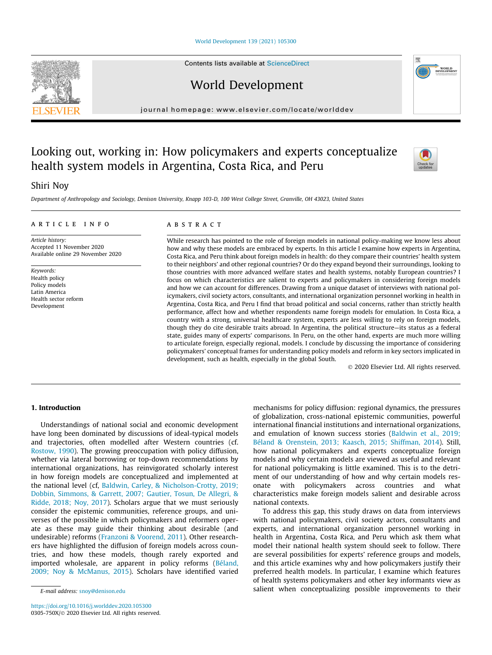[World Development 139 \(2021\) 105300](https://doi.org/10.1016/j.worlddev.2020.105300)

Contents lists available at [ScienceDirect](http://www.sciencedirect.com/science/journal/0305750X)

World Development

journal homepage: [www.elsevier.com/locate/worlddev](http://www.elsevier.com/locate/worlddev)

# Looking out, working in: How policymakers and experts conceptualize health system models in Argentina, Costa Rica, and Peru

# Shiri Noy

Department of Anthropology and Sociology, Denison University, Knapp 103-D, 100 West College Street, Granville, OH 43023, United States

### article info

Article history: Accepted 11 November 2020 Available online 29 November 2020

Keywords: Health policy Policy models Latin America Health sector reform Development

# ABSTRACT

While research has pointed to the role of foreign models in national policy-making we know less about how and why these models are embraced by experts. In this article I examine how experts in Argentina, Costa Rica, and Peru think about foreign models in health: do they compare their countries' health system to their neighbors' and other regional countries? Or do they expand beyond their surroundings, looking to those countries with more advanced welfare states and health systems, notably European countries? I focus on which characteristics are salient to experts and policymakers in considering foreign models and how we can account for differences. Drawing from a unique dataset of interviews with national policymakers, civil society actors, consultants, and international organization personnel working in health in Argentina, Costa Rica, and Peru I find that broad political and social concerns, rather than strictly health performance, affect how and whether respondents name foreign models for emulation. In Costa Rica, a country with a strong, universal healthcare system, experts are less willing to rely on foreign models, though they do cite desirable traits abroad. In Argentina, the political structure—its status as a federal state, guides many of experts' comparisons. In Peru, on the other hand, experts are much more willing to articulate foreign, especially regional, models. I conclude by discussing the importance of considering policymakers' conceptual frames for understanding policy models and reform in key sectors implicated in development, such as health, especially in the global South.

2020 Elsevier Ltd. All rights reserved.

# 1. Introduction

Understandings of national social and economic development have long been dominated by discussions of ideal-typical models and trajectories, often modelled after Western countries (cf. [Rostow, 1990\)](#page-9-0). The growing preoccupation with policy diffusion, whether via lateral borrowing or top-down recommendations by international organizations, has reinvigorated scholarly interest in how foreign models are conceptualized and implemented at the national level (cf, [Baldwin, Carley, & Nicholson-Crotty, 2019;](#page-8-0) [Dobbin, Simmons, & Garrett, 2007; Gautier, Tosun, De Allegri, &](#page-8-0) [Ridde, 2018; Noy, 2017\)](#page-8-0). Scholars argue that we must seriously consider the epistemic communities, reference groups, and universes of the possible in which policymakers and reformers operate as these may guide their thinking about desirable (and undesirable) reforms ([Franzoni & Voorend, 2011\)](#page-9-0). Other researchers have highlighted the diffusion of foreign models across countries, and how these models, though rarely exported and imported wholesale, are apparent in policy reforms [\(Béland,](#page-8-0) [2009; Noy & McManus, 2015](#page-8-0)). Scholars have identified varied

international financial institutions and international organizations, and emulation of known success stories [\(Baldwin et al., 2019;](#page-8-0) [Béland & Orenstein, 2013; Kaasch, 2015; Shiffman, 2014](#page-8-0)). Still, how national policymakers and experts conceptualize foreign models and why certain models are viewed as useful and relevant for national policymaking is little examined. This is to the detriment of our understanding of how and why certain models resonate with policymakers across countries and what characteristics make foreign models salient and desirable across national contexts. To address this gap, this study draws on data from interviews with national policymakers, civil society actors, consultants and

mechanisms for policy diffusion: regional dynamics, the pressures of globalization, cross-national epistemic communities, powerful

experts, and international organization personnel working in health in Argentina, Costa Rica, and Peru which ask them what model their national health system should seek to follow. There are several possibilities for experts' reference groups and models, and this article examines why and how policymakers justify their preferred health models. In particular, I examine which features of health systems policymakers and other key informants view as salient when conceptualizing possible improvements to their







E-mail address: [snoy@denison.edu](mailto:snoy@denison.edu)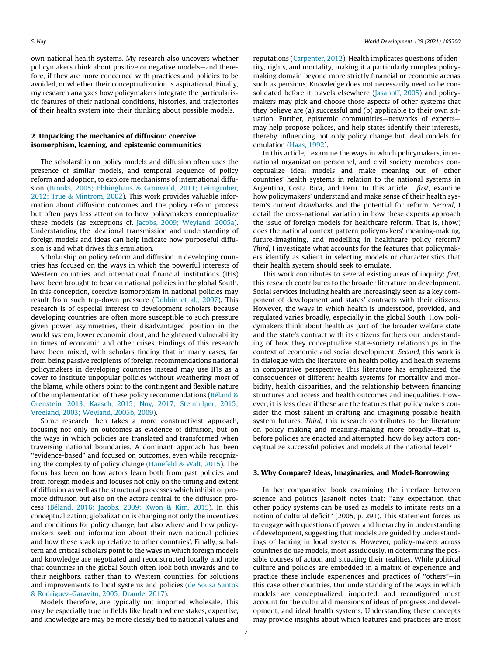own national health systems. My research also uncovers whether policymakers think about positive or negative models—and therefore, if they are more concerned with practices and policies to be avoided, or whether their conceptualization is aspirational. Finally, my research analyzes how policymakers integrate the particularistic features of their national conditions, histories, and trajectories of their health system into their thinking about possible models.

# 2. Unpacking the mechanics of diffusion: coercive isomorphism, learning, and epistemic communities

The scholarship on policy models and diffusion often uses the presence of similar models, and temporal sequence of policy reform and adoption, to explore mechanisms of international diffusion [\(Brooks, 2005; Ebbinghaus & Gronwald, 2011; Leimgruber,](#page-8-0) [2012; True & Mintrom, 2002](#page-8-0)). This work provides valuable information about diffusion outcomes and the policy reform process but often pays less attention to how policymakers conceptualize these models (as exceptions cf. [Jacobs, 2009; Weyland, 2005a\)](#page-9-0). Understanding the ideational transmission and understanding of foreign models and ideas can help indicate how purposeful diffusion is and what drives this emulation.

Scholarship on policy reform and diffusion in developing countries has focused on the ways in which the powerful interests of Western countries and international financial institutions (IFIs) have been brought to bear on national policies in the global South. In this conception, coercive isomorphism in national policies may result from such top-down pressure ([Dobbin et al., 2007](#page-9-0)). This research is of especial interest to development scholars because developing countries are often more susceptible to such pressure given power asymmetries, their disadvantaged position in the world system, lower economic clout, and heightened vulnerability in times of economic and other crises. Findings of this research have been mixed, with scholars finding that in many cases, far from being passive recipients of foreign recommendations national policymakers in developing countries instead may use IFIs as a cover to institute unpopular policies without weathering most of the blame, while others point to the contingent and flexible nature of the implementation of these policy recommendations [\(Béland &](#page-8-0) [Orenstein, 2013; Kaasch, 2015; Noy, 2017; Steinhilper, 2015;](#page-8-0) [Vreeland, 2003; Weyland, 2005b, 2009\)](#page-8-0).

Some research then takes a more constructivist approach, focusing not only on outcomes as evidence of diffusion, but on the ways in which policies are translated and transformed when traversing national boundaries. A dominant approach has been ''evidence-based" and focused on outcomes, even while recognizing the complexity of policy change [\(Hanefeld & Walt, 2015](#page-9-0)). The focus has been on how actors learn both from past policies and from foreign models and focuses not only on the timing and extent of diffusion as well as the structural processes which inhibit or promote diffusion but also on the actors central to the diffusion process ([Béland, 2016; Jacobs, 2009; Kwon & Kim, 2015](#page-8-0)). In this conceptualization, globalization is changing not only the incentives and conditions for policy change, but also where and how policymakers seek out information about their own national policies and how these stack up relative to other countries'. Finally, subaltern and critical scholars point to the ways in which foreign models and knowledge are negotiated and reconstructed locally and note that countries in the global South often look both inwards and to their neighbors, rather than to Western countries, for solutions and improvements to local systems and policies ([de Sousa Santos](#page-9-0) [& Rodríguez-Garavito, 2005; Draude, 2017](#page-9-0)).

Models therefore, are typically not imported wholesale. This may be especially true in fields like health where stakes, expertise, and knowledge are may be more closely tied to national values and reputations [\(Carpenter, 2012](#page-8-0)). Health implicates questions of identity, rights, and mortality, making it a particularly complex policymaking domain beyond more strictly financial or economic arenas such as pensions. Knowledge does not necessarily need to be consolidated before it travels elsewhere [\(Jasanoff, 2005\)](#page-9-0) and policymakers may pick and choose those aspects of other systems that they believe are (a) successful and (b) applicable to their own situation. Further, epistemic communities—networks of experts may help propose polices, and help states identify their interests, thereby influencing not only policy change but ideal models for emulation ([Haas, 1992\)](#page-9-0).

In this article, I examine the ways in which policymakers, international organization personnel, and civil society members conceptualize ideal models and make meaning out of other countries' health systems in relation to the national systems in Argentina, Costa Rica, and Peru. In this article I first, examine how policymakers' understand and make sense of their health system's current drawbacks and the potential for reform. Second, I detail the cross-national variation in how these experts approach the issue of foreign models for healthcare reform. That is, (how) does the national context pattern policymakers' meaning-making, future-imagining, and modelling in healthcare policy reform? Third, I investigate what accounts for the features that policymakers identify as salient in selecting models or characteristics that their health system should seek to emulate.

This work contributes to several existing areas of inquiry: first, this research contributes to the broader literature on development. Social services including health are increasingly seen as a key component of development and states' contracts with their citizens. However, the ways in which health is understood, provided, and regulated varies broadly, especially in the global South. How policymakers think about health as part of the broader welfare state and the state's contract with its citizens furthers our understanding of how they conceptualize state-society relationships in the context of economic and social development. Second, this work is in dialogue with the literature on health policy and health systems in comparative perspective. This literature has emphasized the consequences of different health systems for mortality and morbidity, health disparities, and the relationship between financing structures and access and health outcomes and inequalities. However, it is less clear if these are the features that policymakers consider the most salient in crafting and imagining possible health system futures. Third, this research contributes to the literature on policy making and meaning-making more broadly—that is, before policies are enacted and attempted, how do key actors conceptualize successful policies and models at the national level?

# 3. Why Compare? Ideas, Imaginaries, and Model-Borrowing

In her comparative book examining the interface between science and politics Jasanoff notes that: ''any expectation that other policy systems can be used as models to imitate rests on a notion of cultural deficit" (2005, p. 291). This statement forces us to engage with questions of power and hierarchy in understanding of development, suggesting that models are guided by understandings of lacking in local systems. However, policy-makers across countries do use models, most assiduously, in determining the possible courses of action and situating their realities. While political culture and policies are embedded in a matrix of experience and practice these include experiences and practices of ''others"—in this case other countries. Our understanding of the ways in which models are conceptualized, imported, and reconfigured must account for the cultural dimensions of ideas of progress and development, and ideal health systems. Understanding these concepts may provide insights about which features and practices are most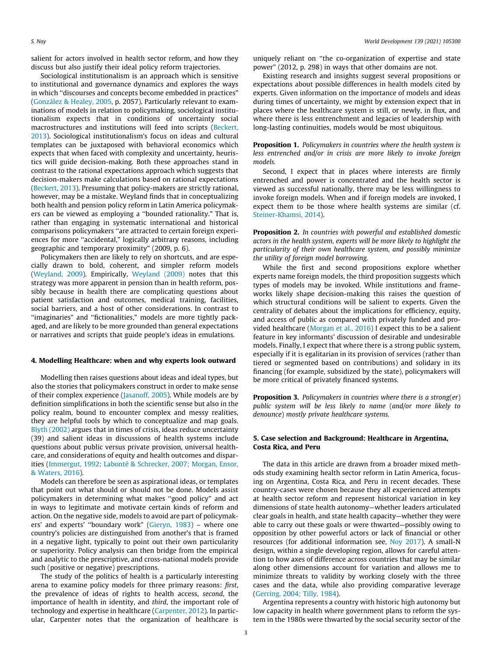<span id="page-2-0"></span>salient for actors involved in health sector reform, and how they discuss but also justify their ideal policy reform trajectories.

Sociological institutionalism is an approach which is sensitive to institutional and governance dynamics and explores the ways in which ''discourses and concepts become embedded in practices" ([González & Healey, 2005,](#page-9-0) p. 2057). Particularly relevant to examinations of models in relation to policymaking, sociological institutionalism expects that in conditions of uncertainty social macrostructures and institutions will feed into scripts ([Beckert,](#page-8-0) [2013\)](#page-8-0). Sociological institutionalism's focus on ideas and cultural templates can be juxtaposed with behavioral economics which expects that when faced with complexity and uncertainty, heuristics will guide decision-making. Both these approaches stand in contrast to the rational expectations approach which suggests that decision-makers make calculations based on rational expectations ([Beckert, 2013\)](#page-8-0). Presuming that policy-makers are strictly rational, however, may be a mistake. Weyland finds that in conceptualizing both health and pension policy reform in Latin America policymakers can be viewed as employing a ''bounded rationality." That is, rather than engaging in systematic international and historical comparisons policymakers ''are attracted to certain foreign experiences for more ''accidental," logically arbitrary reasons, including geographic and temporary proximity" (2009, p. 6).

Policymakers then are likely to rely on shortcuts, and are especially drawn to bold, coherent, and simpler reform models ([Weyland, 2009](#page-9-0)). Empirically, [Weyland \(2009\)](#page-9-0) notes that this strategy was more apparent in pension than in health reform, possibly because in health there are complicating questions about patient satisfaction and outcomes, medical training, facilities, social barriers, and a host of other considerations. In contrast to "imaginaries" and "fictionalities," models are more tightly packaged, and are likely to be more grounded than general expectations or narratives and scripts that guide people's ideas in emulations.

# 4. Modelling Healthcare: when and why experts look outward

Modelling then raises questions about ideas and ideal types, but also the stories that policymakers construct in order to make sense of their complex experience [\(Jasanoff, 2005](#page-9-0)). While models are by definition simplifications in both the scientific sense but also in the policy realm, bound to encounter complex and messy realities, they are helpful tools by which to conceptualize and map goals. [Blyth \(2002\)](#page-8-0) argues that in times of crisis, ideas reduce uncertainty (39) and salient ideas in discussions of health systems include questions about public versus private provision, universal healthcare, and considerations of equity and health outcomes and disparities [\(Immergut, 1992; Labonté & Schrecker, 2007; Morgan, Ensor,](#page-9-0) [& Waters, 2016](#page-9-0)).

Models can therefore be seen as aspirational ideas, or templates that point out what should or should not be done. Models assist policymakers in determining what makes ''good policy" and act in ways to legitimate and motivate certain kinds of reform and action. On the negative side, models to avoid are part of policymakers' and experts' ''boundary work" ([Gieryn, 1983](#page-9-0)) – where one country's policies are distinguished from another's that is framed in a negative light, typically to point out their own particularity or superiority. Policy analysis can then bridge from the empirical and analytic to the prescriptive, and cross-national models provide such (positive or negative) prescriptions.

The study of the politics of health is a particularly interesting arena to examine policy models for three primary reasons: first, the prevalence of ideas of rights to health access, second, the importance of health in identity, and third, the important role of technology and expertise in healthcare [\(Carpenter, 2012](#page-8-0)). In particular, Carpenter notes that the organization of healthcare is

uniquely reliant on ''the co-organization of expertise and state power" (2012, p. 298) in ways that other domains are not.

Existing research and insights suggest several propositions or expectations about possible differences in health models cited by experts. Given information on the importance of models and ideas during times of uncertainty, we might by extension expect that in places where the healthcare system is still, or newly, in flux, and where there is less entrenchment and legacies of leadership with long-lasting continuities, models would be most ubiquitous.

# Proposition 1. Policymakers in countries where the health system is less entrenched and/or in crisis are more likely to invoke foreign models.

Second, I expect that in places where interests are firmly entrenched and power is concentrated and the health sector is viewed as successful nationally, there may be less willingness to invoke foreign models. When and if foreign models are invoked, I expect them to be those where health systems are similar (cf. [Steiner-Khamsi, 2014](#page-9-0)).

Proposition 2. In countries with powerful and established domestic actors in the health system, experts will be more likely to highlight the particularity of their own healthcare system, and possibly minimize the utility of foreign model borrowing.

While the first and second propositions explore whether experts name foreign models, the third proposition suggests which types of models may be invoked. While institutions and frameworks likely shape decision-making this raises the question of which structural conditions will be salient to experts. Given the centrality of debates about the implications for efficiency, equity, and access of public as compared with privately funded and provided healthcare [\(Morgan et al., 2016](#page-9-0)) I expect this to be a salient feature in key informants' discussion of desirable and undesirable models. Finally, I expect that where there is a strong public system, especially if it is egalitarian in its provision of services (rather than tiered or segmented based on contributions) and solidary in its financing (for example, subsidized by the state), policymakers will be more critical of privately financed systems.

**Proposition 3.** Policymakers in countries where there is a strong(er) public system will be less likely to name (and/or more likely to denounce) mostly private healthcare systems.

# 5. Case selection and Background: Healthcare in Argentina, Costa Rica, and Peru

The data in this article are drawn from a broader mixed methods study examining health sector reform in Latin America, focusing on Argentina, Costa Rica, and Peru in recent decades. These country-cases were chosen because they all experienced attempts at health sector reform and represent historical variation in key dimensions of state health autonomy—whether leaders articulated clear goals in health, and state health capacity—whether they were able to carry out these goals or were thwarted—possibly owing to opposition by other powerful actors or lack of financial or other resources (for additional information see, [Noy 2017](#page-9-0)). A small-N design, within a single developing region, allows for careful attention to how axes of difference across countries that may be similar along other dimensions account for variation and allows me to minimize threats to validity by working closely with the three cases and the data, while also providing comparative leverage ([Gerring, 2004; Tilly, 1984](#page-9-0)).

Argentina represents a country with historic high autonomy but low capacity in health where government plans to reform the system in the 1980s were thwarted by the social security sector of the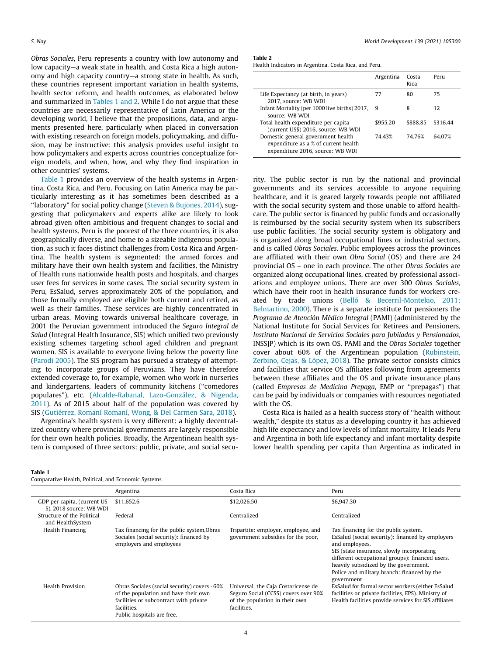Obras Sociales, Peru represents a country with low autonomy and low capacity—a weak state in health, and Costa Rica a high autonomy and high capacity country—a strong state in health. As such, these countries represent important variation in health systems, health sector reform, and health outcomes, as elaborated below and summarized in Tables 1 and 2. While I do not argue that these countries are necessarily representative of Latin America or the developing world, I believe that the propositions, data, and arguments presented here, particularly when placed in conversation with existing research on foreign models, policymaking, and diffusion, may be instructive: this analysis provides useful insight to how policymakers and experts across countries conceptualize foreign models, and when, how, and why they find inspiration in other countries' systems.

Table 1 provides an overview of the health systems in Argentina, Costa Rica, and Peru. Focusing on Latin America may be particularly interesting as it has sometimes been described as a ''laboratory" for social policy change [\(Steven & Bujones, 2014\)](#page-9-0), suggesting that policymakers and experts alike are likely to look abroad given often ambitious and frequent changes to social and health systems. Peru is the poorest of the three countries, it is also geographically diverse, and home to a sizeable indigenous population, as such it faces distinct challenges from Costa Rica and Argentina. The health system is segmented: the armed forces and military have their own health system and facilities, the Ministry of Health runs nationwide health posts and hospitals, and charges user fees for services in some cases. The social security system in Peru, EsSalud, serves approximately 20% of the population, and those formally employed are eligible both current and retired, as well as their families. These services are highly concentrated in urban areas. Moving towards universal healthcare coverage, in 2001 the Peruvian government introduced the Seguro Integral de Salud (Integral Health Insurance, SIS) which unified two previously existing schemes targeting school aged children and pregnant women. SIS is available to everyone living below the poverty line ([Parodi 2005](#page-9-0)). The SIS program has pursued a strategy of attempting to incorporate groups of Peruvians. They have therefore extended coverage to, for example, women who work in nurseries and kindergartens, leaders of community kitchens (''comedores populares"), etc. ([Alcalde-Rabanal, Lazo-González, & Nigenda,](#page-8-0) [2011\)](#page-8-0). As of 2015 about half of the population was covered by SIS [\(Gutiérrez, Romaní Romaní, Wong, & Del Carmen Sara, 2018](#page-9-0)).

Argentina's health system is very different: a highly decentralized country where provincial governments are largely responsible for their own health policies. Broadly, the Argentinean health system is composed of three sectors: public, private, and social secu-

### <span id="page-3-0"></span>S. Noy World Development 139 (2021) 105300

| e 2 |  |  |
|-----|--|--|
|     |  |  |

Table

|  |  |  |  |  |  |  |  |  | Health Indicators in Argentina, Costa Rica, and Peru. |  |  |  |  |  |  |
|--|--|--|--|--|--|--|--|--|-------------------------------------------------------|--|--|--|--|--|--|
|--|--|--|--|--|--|--|--|--|-------------------------------------------------------|--|--|--|--|--|--|

|                                                                                                                | Argentina | Costa<br>Rica | Peru     |
|----------------------------------------------------------------------------------------------------------------|-----------|---------------|----------|
| Life Expectancy (at birth, in years)<br>2017, source: WB WDI                                                   | 77        | 80            | 75       |
| Infant Mortality (per 1000 live births) 2017,<br>source: WB WDI                                                | 9         | 8             | 12       |
| Total health expenditure per capita<br>(current US\$) 2016, source: WB WDI                                     | \$955.20  | \$888.85      | \$316.44 |
| Domestic general government health<br>expenditure as a % of current health<br>expenditure 2016, source: WB WDI | 7443%     | 74 76%        | 64 07%   |

rity. The public sector is run by the national and provincial governments and its services accessible to anyone requiring healthcare, and it is geared largely towards people not affiliated with the social security system and those unable to afford healthcare. The public sector is financed by public funds and occasionally is reimbursed by the social security system when its subscribers use public facilities. The social security system is obligatory and is organized along broad occupational lines or industrial sectors, and is called Obras Sociales. Public employees across the provinces are affiliated with their own Obra Social (OS) and there are 24 provincial OS – one in each province. The other Obras Sociales are organized along occupational lines, created by professional associations and employee unions. There are over 300 Obras Sociales, which have their root in health insurance funds for workers created by trade unions [\(Belló & Becerril-Montekio, 2011;](#page-8-0) [Belmartino, 2000\)](#page-8-0). There is a separate institute for pensioners the Programa de Atención Médico Integral (PAMI) (administered by the National Institute for Social Services for Retirees and Pensioners, Instituto Nacional de Servicios Sociales para Jubilados y Pensionados, INSSJP) which is its own OS. PAMI and the Obras Sociales together cover about 60% of the Argentinean population [\(Rubinstein,](#page-9-0) [Zerbino, Cejas, & López, 2018\)](#page-9-0). The private sector consists clinics and facilities that service OS affiliates following from agreements between these affiliates and the OS and private insurance plans (called Empresas de Medicina Prepaga, EMP or ''prepagas") that can be paid by individuals or companies with resources negotiated with the OS.

Costa Rica is hailed as a health success story of ''health without wealth," despite its status as a developing country it has achieved high life expectancy and low levels of infant mortality. It leads Peru and Argentina in both life expectancy and infant mortality despite lower health spending per capita than Argentina as indicated in

#### Table 1

Comparative Health, Political, and Economic Systems.

|                                                         | Argentina                                                                                                                                                                      | Costa Rica                                                                                                                   | Peru                                                                                                                                                                                                                                                                                                              |
|---------------------------------------------------------|--------------------------------------------------------------------------------------------------------------------------------------------------------------------------------|------------------------------------------------------------------------------------------------------------------------------|-------------------------------------------------------------------------------------------------------------------------------------------------------------------------------------------------------------------------------------------------------------------------------------------------------------------|
| GDP per capita, (current US<br>\$), 2018 source: WB WDI | \$11.652.6                                                                                                                                                                     | \$12,026.50                                                                                                                  | \$6,947.30                                                                                                                                                                                                                                                                                                        |
| Structure of the Political<br>and HealthSystem          | Federal                                                                                                                                                                        | Centralized                                                                                                                  | Centralized                                                                                                                                                                                                                                                                                                       |
| Health Financing                                        | Tax financing for the public system, Obras<br>Sociales (social security): financed by<br>employers and employees                                                               | Tripartite: employer, employee, and<br>government subsidies for the poor,                                                    | Tax financing for the public system.<br>EsSalud (social security): financed by employers<br>and employees.<br>SIS (state insurance, slowly incorporating<br>different occupational groups): financed users,<br>heavily subsidized by the government.<br>Police and military branch: financed by the<br>government |
| <b>Health Provision</b>                                 | Obras Sociales (social security) covers $~50\%$<br>of the population and have their own<br>facilities or subcontract with private<br>facilities.<br>Public hospitals are free. | Universal, the Caja Costaricense de<br>Seguro Social (CCSS) covers over 90%<br>of the population in their own<br>facilities. | EsSalud for formal sector workers (either EsSalud<br>facilities or private facilities, EPS). Ministry of<br>Health facilities provide services for SIS affiliates                                                                                                                                                 |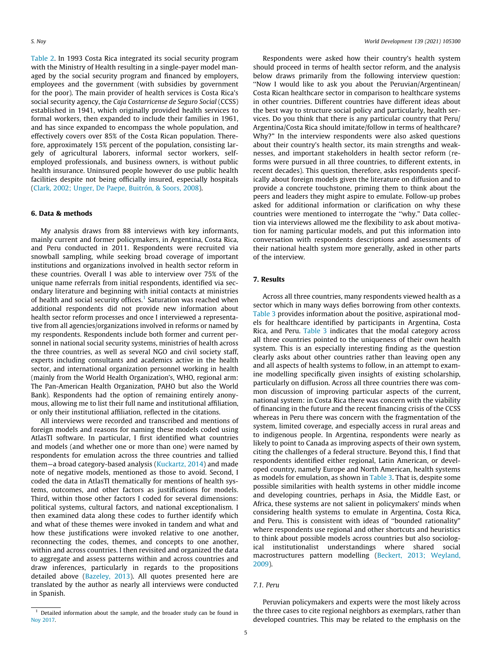[Table 2.](#page-3-0) In 1993 Costa Rica integrated its social security program with the Ministry of Health resulting in a single-payer model managed by the social security program and financed by employers, employees and the government (with subsidies by government for the poor). The main provider of health services is Costa Rica's social security agency, the Caja Costarricense de Seguro Social (CCSS) established in 1941, which originally provided health services to formal workers, then expanded to include their families in 1961, and has since expanded to encompass the whole population, and effectively covers over 85% of the Costa Rican population. Therefore, approximately 15% percent of the population, consisting largely of agricultural laborers, informal sector workers, selfemployed professionals, and business owners, is without public health insurance. Uninsured people however do use public health facilities despite not being officially insured, especially hospitals ([Clark, 2002; Unger, De Paepe, Buitrón, & Soors, 2008\)](#page-9-0).

# 6. Data & methods

My analysis draws from 88 interviews with key informants, mainly current and former policymakers, in Argentina, Costa Rica, and Peru conducted in 2011. Respondents were recruited via snowball sampling, while seeking broad coverage of important institutions and organizations involved in health sector reform in these countries. Overall I was able to interview over 75% of the unique name referrals from initial respondents, identified via secondary literature and beginning with initial contacts at ministries of health and social security offices.<sup>1</sup> Saturation was reached when additional respondents did not provide new information about health sector reform processes and once I interviewed a representative from all agencies/organizations involved in reforms or named by my respondents. Respondents include both former and current personnel in national social security systems, ministries of health across the three countries, as well as several NGO and civil society staff, experts including consultants and academics active in the health sector, and international organization personnel working in health (mainly from the World Health Organization's, WHO, regional arm: The Pan-American Health Organization, PAHO but also the World Bank). Respondents had the option of remaining entirely anonymous, allowing me to list their full name and institutional affiliation, or only their institutional affiliation, reflected in the citations.

All interviews were recorded and transcribed and mentions of foreign models and reasons for naming these models coded using AtlasTI software. In particular, I first identified what countries and models (and whether one or more than one) were named by respondents for emulation across the three countries and tallied them—a broad category-based analysis ([Kuckartz, 2014](#page-9-0)) and made note of negative models, mentioned as those to avoid. Second, I coded the data in AtlasTI thematically for mentions of health systems, outcomes, and other factors as justifications for models. Third, within those other factors I coded for several dimensions: political systems, cultural factors, and national exceptionalism. I then examined data along these codes to further identify which and what of these themes were invoked in tandem and what and how these justifications were invoked relative to one another, reconnecting the codes, themes, and concepts to one another, within and across countries. I then revisited and organized the data to aggregate and assess patterns within and across countries and draw inferences, particularly in regards to the propositions detailed above [\(Bazeley, 2013\)](#page-8-0). All quotes presented here are translated by the author as nearly all interviews were conducted in Spanish.

Respondents were asked how their country's health system should proceed in terms of health sector reform, and the analysis below draws primarily from the following interview question: ''Now I would like to ask you about the Peruvian/Argentinean/ Costa Rican healthcare sector in comparison to healthcare systems in other countries. Different countries have different ideas about the best way to structure social policy and particularly, health services. Do you think that there is any particular country that Peru/ Argentina/Costa Rica should imitate/follow in terms of healthcare? Why?" In the interview respondents were also asked questions about their country's health sector, its main strengths and weaknesses, and important stakeholders in health sector reform (reforms were pursued in all three countries, to different extents, in recent decades). This question, therefore, asks respondents specifically about foreign models given the literature on diffusion and to provide a concrete touchstone, priming them to think about the peers and leaders they might aspire to emulate. Follow-up probes asked for additional information or clarification on why these countries were mentioned to interrogate the ''why." Data collection via interviews allowed me the flexibility to ask about motivation for naming particular models, and put this information into conversation with respondents descriptions and assessments of their national health system more generally, asked in other parts of the interview.

# 7. Results

Across all three countries, many respondents viewed health as a sector which in many ways defies borrowing from other contexts. [Table 3](#page-5-0) provides information about the positive, aspirational models for healthcare identified by participants in Argentina, Costa Rica, and Peru. [Table 3](#page-5-0) indicates that the modal category across all three countries pointed to the uniqueness of their own health system. This is an especially interesting finding as the question clearly asks about other countries rather than leaving open any and all aspects of health systems to follow, in an attempt to examine modelling specifically given insights of existing scholarship, particularly on diffusion. Across all three countries there was common discussion of improving particular aspects of the current, national system: in Costa Rica there was concern with the viability of financing in the future and the recent financing crisis of the CCSS whereas in Peru there was concern with the fragmentation of the system, limited coverage, and especially access in rural areas and to indigenous people. In Argentina, respondents were nearly as likely to point to Canada as improving aspects of their own system, citing the challenges of a federal structure. Beyond this, I find that respondents identified either regional, Latin American, or developed country, namely Europe and North American, health systems as models for emulation, as shown in [Table 3](#page-5-0). That is, despite some possible similarities with health systems in other middle income and developing countries, perhaps in Asia, the Middle East, or Africa, these systems are not salient in policymakers' minds when considering health systems to emulate in Argentina, Costa Rica, and Peru. This is consistent with ideas of ''bounded rationality" where respondents use regional and other shortcuts and heuristics to think about possible models across countries but also sociological institutionalist understandings where shared social macrostructures pattern modelling ([Beckert, 2013; Weyland,](#page-8-0) [2009](#page-8-0)).

# 7.1. Peru

Peruvian policymakers and experts were the most likely across the three cases to cite regional neighbors as exemplars, rather than developed countries. This may be related to the emphasis on the

 $1$  Detailed information about the sample, and the broader study can be found in [Noy 2017](#page-9-0).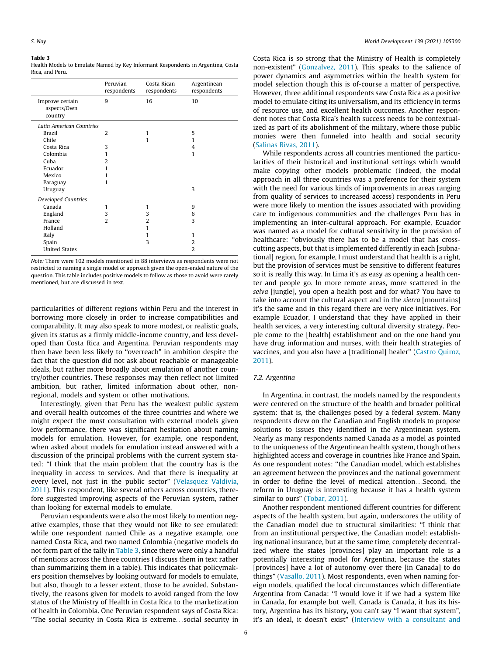### <span id="page-5-0"></span>Table 3

Health Models to Emulate Named by Key Informant Respondents in Argentina, Costa Rica, and Peru.

|                          | Peruvian       | Costa Rican    |                            |
|--------------------------|----------------|----------------|----------------------------|
|                          | respondents    | respondents    | Argentinean<br>respondents |
| Improve certain          | 9              | 16             | 10                         |
| aspects/Own              |                |                |                            |
| country                  |                |                |                            |
| Latin American Countries |                |                |                            |
| <b>Brazil</b>            | 2              | 1              | 5                          |
| Chile                    |                | 1              | 1                          |
| Costa Rica               | 3              |                | 4                          |
| Colombia                 | 1              |                | 1                          |
| Cuba                     | 2              |                |                            |
| Ecuador                  | 1              |                |                            |
| Mexico                   | 1              |                |                            |
| Paraguay                 | 1              |                |                            |
| Uruguay                  |                |                | 3                          |
| Developed Countries      |                |                |                            |
| Canada                   | 1              | 1              | 9                          |
| England                  | 3              | 3              | 6                          |
| France                   | $\overline{2}$ | $\overline{2}$ | 3                          |
| Holland                  |                | 1              |                            |
| Italy                    |                | 1              | 1                          |
| Spain                    |                | 3              | 2                          |
| <b>United States</b>     |                |                | $\overline{2}$             |

Note: There were 102 models mentioned in 88 interviews as respondents were not restricted to naming a single model or approach given the open-ended nature of the question. This table includes positive models to follow as those to avoid were rarely mentioned, but are discussed in text.

particularities of different regions within Peru and the interest in borrowing more closely in order to increase compatibilities and comparability. It may also speak to more modest, or realistic goals, given its status as a firmly middle-income country, and less developed than Costa Rica and Argentina. Peruvian respondents may then have been less likely to ''overreach" in ambition despite the fact that the question did not ask about reachable or manageable ideals, but rather more broadly about emulation of another country/other countries. These responses may then reflect not limited ambition, but rather, limited information about other, nonregional, models and system or other motivations.

Interestingly, given that Peru has the weakest public system and overall health outcomes of the three countries and where we might expect the most consultation with external models given low performance, there was significant hesitation about naming models for emulation. However, for example, one respondent, when asked about models for emulation instead answered with a discussion of the principal problems with the current system stated: ''I think that the main problem that the country has is the inequality in access to services. And that there is inequality at every level, not just in the public sector" ([Velasquez Valdivia,](#page-9-0) [2011\)](#page-9-0). This respondent, like several others across countries, therefore suggested improving aspects of the Peruvian system, rather than looking for external models to emulate.

Peruvian respondents were also the most likely to mention negative examples, those that they would not like to see emulated: while one respondent named Chile as a negative example, one named Costa Rica, and two named Colombia (negative models do not form part of the tally in Table 3, since there were only a handful of mentions across the three countries I discuss them in text rather than summarizing them in a table). This indicates that policymakers position themselves by looking outward for models to emulate, but also, though to a lesser extent, those to be avoided. Substantively, the reasons given for models to avoid ranged from the low status of the Ministry of Health in Costa Rica to the marketization of health in Colombia. One Peruvian respondent says of Costa Rica: ''The social security in Costa Rica is extreme...social security in

Costa Rica is so strong that the Ministry of Health is completely non-existent" [\(Gonzalvez, 2011](#page-9-0)). This speaks to the salience of power dynamics and asymmetries within the health system for model selection though this is of-course a matter of perspective. However, three additional respondents saw Costa Rica as a positive model to emulate citing its universalism, and its efficiency in terms of resource use, and excellent health outcomes. Another respondent notes that Costa Rica's health success needs to be contextualized as part of its abolishment of the military, where those public monies were then funneled into health and social security ([Salinas Rivas, 2011\)](#page-9-0).

While respondents across all countries mentioned the particularities of their historical and institutional settings which would make copying other models problematic (indeed, the modal approach in all three countries was a preference for their system with the need for various kinds of improvements in areas ranging from quality of services to increased access) respondents in Peru were more likely to mention the issues associated with providing care to indigenous communities and the challenges Peru has in implementing an inter-cultural approach. For example, Ecuador was named as a model for cultural sensitivity in the provision of healthcare: "obviously there has to be a model that has crosscutting aspects, but that is implemented differently in each [subnational] region, for example, I must understand that health is a right, but the provision of services must be sensitive to different features so it is really this way. In Lima it's as easy as opening a health center and people go. In more remote areas, more scattered in the selva [jungle], you open a health post and for what? You have to take into account the cultural aspect and in the sierra [mountains] it's the same and in this regard there are very nice initiatives. For example Ecuador, I understand that they have applied in their health services, a very interesting cultural diversity strategy. People come to the [health] establishment and on the one hand you have drug information and nurses, with their health strategies of vaccines, and you also have a [traditional] healer" ([Castro Quiroz,](#page-8-0) [2011\)](#page-8-0).

# 7.2. Argentina

In Argentina, in contrast, the models named by the respondents were centered on the structure of the health and broader political system: that is, the challenges posed by a federal system. Many respondents drew on the Canadian and English models to propose solutions to issues they identified in the Argentinean system. Nearly as many respondents named Canada as a model as pointed to the uniqueness of the Argentinean health system, though others highlighted access and coverage in countries like France and Spain. As one respondent notes: ''the Canadian model, which establishes an agreement between the provinces and the national government in order to define the level of medical attention...Second, the reform in Uruguay is interesting because it has a health system similar to ours" [\(Tobar, 2011](#page-9-0)).

Another respondent mentioned different countries for different aspects of the health system, but again, underscores the utility of the Canadian model due to structural similarities: ''I think that from an institutional perspective, the Canadian model: establishing national insurance, but at the same time, completely decentralized where the states [provinces] play an important role is a potentially interesting model for Argentina, because the states [provinces] have a lot of autonomy over there [in Canada] to do things" [\(Vasallo, 2011](#page-9-0)). Most respondents, even when naming foreign models, qualified the local circumstances which differentiate Argentina from Canada: ''I would love it if we had a system like in Canada, for example but well, Canada is Canada, it has its history, Argentina has its history, you can't say ''I want that system", it's an ideal, it doesn't exist" [\(Interview with a consultant and](#page-9-0)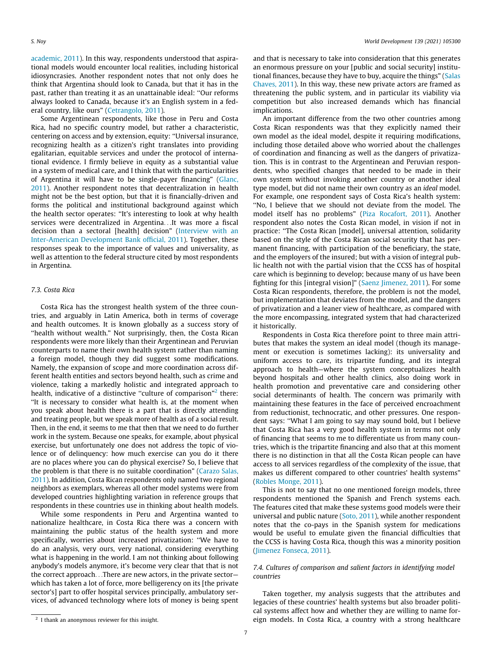[academic, 2011](#page-9-0)). In this way, respondents understood that aspirational models would encounter local realities, including historical idiosyncrasies. Another respondent notes that not only does he think that Argentina should look to Canada, but that it has in the past, rather than treating it as an unattainable ideal: ''Our reforms always looked to Canada, because it's an English system in a federal country, like ours" [\(Cetrangolo, 2011\)](#page-8-0).

Some Argentinean respondents, like those in Peru and Costa Rica, had no specific country model, but rather a characteristic, centering on access and by extension, equity: ''Universal insurance, recognizing health as a citizen's right translates into providing egalitarian, equitable services and under the protocol of international evidence. I firmly believe in equity as a substantial value in a system of medical care, and I think that with the particularities of Argentina it will have to be single-payer financing" [\(Glanc,](#page-9-0) [2011\)](#page-9-0). Another respondent notes that decentralization in health might not be the best option, but that it is financially-driven and forms the political and institutional background against which the health sector operates: ''It's interesting to look at why health services were decentralized in Argentina...It was more a fiscal decision than a sectoral [health] decision" [\(Interview with an](#page-9-0) [Inter-American Development Bank official, 2011](#page-9-0)). Together, these responses speak to the importance of values and universality, as well as attention to the federal structure cited by most respondents in Argentina.

# 7.3. Costa Rica

Costa Rica has the strongest health system of the three countries, and arguably in Latin America, both in terms of coverage and health outcomes. It is known globally as a success story of "health without wealth." Not surprisingly, then, the Costa Rican respondents were more likely than their Argentinean and Peruvian counterparts to name their own health system rather than naming a foreign model, though they did suggest some modifications. Namely, the expansion of scope and more coordination across different health entities and sectors beyond health, such as crime and violence, taking a markedly holistic and integrated approach to health, indicative of a distinctive "culture of comparison"<sup>2</sup> there: ''It is necessary to consider what health is, at the moment when you speak about health there is a part that is directly attending and treating people, but we speak more of health as of a social result. Then, in the end, it seems to me that then that we need to do further work in the system. Because one speaks, for example, about physical exercise, but unfortunately one does not address the topic of violence or of delinquency: how much exercise can you do it there are no places where you can do physical exercise? So, I believe that the problem is that there is no suitable coordination" [\(Carazo Salas,](#page-8-0) [2011](#page-8-0)). In addition, Costa Rican respondents only named two regional neighbors as exemplars, whereas all other model systems were from developed countries highlighting variation in reference groups that respondents in these countries use in thinking about health models.

While some respondents in Peru and Argentina wanted to nationalize healthcare, in Costa Rica there was a concern with maintaining the public status of the health system and more specifically, worries about increased privatization: ''We have to do an analysis, very ours, very national, considering everything what is happening in the world. I am not thinking about following anybody's models anymore, it's become very clear that that is not the correct approach...There are new actors, in the private sector which has taken a lot of force, more belligerency on its [the private sector's] part to offer hospital services principally, ambulatory services, of advanced technology where lots of money is being spent and that is necessary to take into consideration that this generates an enormous pressure on your [public and social security] institutional finances, because they have to buy, acquire the things" ([Salas](#page-9-0) [Chaves, 2011](#page-9-0)). In this way, these new private actors are framed as threatening the public system, and in particular its viability via competition but also increased demands which has financial implications.

An important difference from the two other countries among Costa Rican respondents was that they explicitly named their own model as the ideal model, despite it requiring modifications, including those detailed above who worried about the challenges of coordination and financing as well as the dangers of privatization. This is in contrast to the Argentinean and Peruvian respondents, who specified changes that needed to be made in their own system without invoking another country or another ideal type model, but did not name their own country as an ideal model. For example, one respondent says of Costa Rica's health system: ''No, I believe that we should not deviate from the model. The model itself has no problems" [\(Piza Rocafort, 2011](#page-9-0)). Another respondent also notes the Costa Rican model, in vision if not in practice: ''The Costa Rican [model], universal attention, solidarity based on the style of the Costa Rican social security that has permanent financing, with participation of the beneficiary, the state, and the employers of the insured; but with a vision of integral public health not with the partial vision that the CCSS has of hospital care which is beginning to develop; because many of us have been fighting for this [integral vision]" ([Saenz Jimenez, 2011](#page-9-0)). For some Costa Rican respondents, therefore, the problem is not the model, but implementation that deviates from the model, and the dangers of privatization and a leaner view of healthcare, as compared with the more encompassing, integrated system that had characterized it historically.

Respondents in Costa Rica therefore point to three main attributes that makes the system an ideal model (though its management or execution is sometimes lacking): its universality and uniform access to care, its tripartite funding, and its integral approach to health—where the system conceptualizes health beyond hospitals and other health clinics, also doing work in health promotion and preventative care and considering other social determinants of health. The concern was primarily with maintaining these features in the face of perceived encroachment from reductionist, technocratic, and other pressures. One respondent says: ''What I am going to say may sound bold, but I believe that Costa Rica has a very good health system in terms not only of financing that seems to me to differentiate us from many countries, which is the tripartite financing and also that at this moment there is no distinction in that all the Costa Rican people can have access to all services regardless of the complexity of the issue, that makes us different compared to other countries' health systems" ([Robles Monge, 2011](#page-9-0)).

This is not to say that no one mentioned foreign models, three respondents mentioned the Spanish and French systems each. The features cited that make these systems good models were their universal and public nature [\(Soto, 2011\)](#page-9-0), while another respondent notes that the co-pays in the Spanish system for medications would be useful to emulate given the financial difficulties that the CCSS is having Costa Rica, though this was a minority position ([Jimenez Fonseca, 2011\)](#page-9-0).

# 7.4. Cultures of comparison and salient factors in identifying model countries

Taken together, my analysis suggests that the attributes and legacies of these countries' health systems but also broader political systems affect how and whether they are willing to name foreign models. In Costa Rica, a country with a strong healthcare <sup>2</sup> I thank an anonymous reviewer for this insight.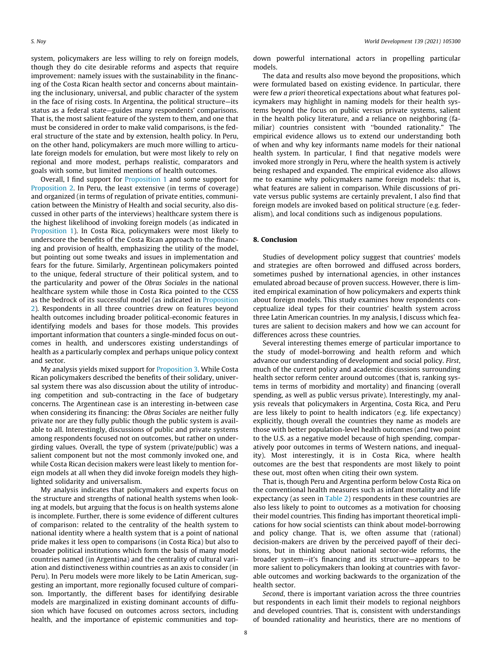system, policymakers are less willing to rely on foreign models, though they do cite desirable reforms and aspects that require improvement: namely issues with the sustainability in the financing of the Costa Rican health sector and concerns about maintaining the inclusionary, universal, and public character of the system in the face of rising costs. In Argentina, the political structure—its status as a federal state—guides many respondents' comparisons. That is, the most salient feature of the system to them, and one that must be considered in order to make valid comparisons, is the federal structure of the state and by extension, health policy. In Peru, on the other hand, policymakers are much more willing to articulate foreign models for emulation, but were most likely to rely on regional and more modest, perhaps realistic, comparators and goals with some, but limited mentions of health outcomes.

Overall, I find support for [Proposition 1](#page-2-0) and some support for [Proposition 2.](#page-2-0) In Peru, the least extensive (in terms of coverage) and organized (in terms of regulation of private entities, communication between the Ministry of Health and social security, also discussed in other parts of the interviews) healthcare system there is the highest likelihood of invoking foreign models (as indicated in [Proposition 1\)](#page-2-0). In Costa Rica, policymakers were most likely to underscore the benefits of the Costa Rican approach to the financing and provision of health, emphasizing the utility of the model, but pointing out some tweaks and issues in implementation and fears for the future. Similarly, Argentinean policymakers pointed to the unique, federal structure of their political system, and to the particularity and power of the Obras Sociales in the national healthcare system while those in Costa Rica pointed to the CCSS as the bedrock of its successful model (as indicated in [Proposition](#page-2-0) [2](#page-2-0)). Respondents in all three countries drew on features beyond health outcomes including broader political-economic features in identifying models and bases for those models. This provides important information that counters a single-minded focus on outcomes in health, and underscores existing understandings of health as a particularly complex and perhaps unique policy context and sector.

My analysis yields mixed support for [Proposition 3.](#page-2-0) While Costa Rican policymakers described the benefits of their solidary, universal system there was also discussion about the utility of introducing competition and sub-contracting in the face of budgetary concerns. The Argentinean case is an interesting in-between case when considering its financing: the Obras Sociales are neither fully private nor are they fully public though the public system is available to all. Interestingly, discussions of public and private systems among respondents focused not on outcomes, but rather on undergirding values. Overall, the type of system (private/public) was a salient component but not the most commonly invoked one, and while Costa Rican decision makers were least likely to mention foreign models at all when they did invoke foreign models they highlighted solidarity and universalism.

My analysis indicates that policymakers and experts focus on the structure and strengths of national health systems when looking at models, but arguing that the focus is on health systems alone is incomplete. Further, there is some evidence of different cultures of comparison: related to the centrality of the health system to national identity where a health system that is a point of national pride makes it less open to comparisons (in Costa Rica) but also to broader political institutions which form the basis of many model countries named (in Argentina) and the centrality of cultural variation and distinctiveness within countries as an axis to consider (in Peru). In Peru models were more likely to be Latin American, suggesting an important, more regionally focused culture of comparison. Importantly, the different bases for identifying desirable models are marginalized in existing dominant accounts of diffusion which have focused on outcomes across sectors, including health, and the importance of epistemic communities and top-

down powerful international actors in propelling particular models.

The data and results also move beyond the propositions, which were formulated based on existing evidence. In particular, there were few a priori theoretical expectations about what features policymakers may highlight in naming models for their health systems beyond the focus on public versus private systems, salient in the health policy literature, and a reliance on neighboring (familiar) countries consistent with ''bounded rationality." The empirical evidence allows us to extend our understanding both of when and why key informants name models for their national health system. In particular, I find that negative models were invoked more strongly in Peru, where the health system is actively being reshaped and expanded. The empirical evidence also allows me to examine why policymakers name foreign models: that is, what features are salient in comparison. While discussions of private versus public systems are certainly prevalent, I also find that foreign models are invoked based on political structure (e.g. federalism), and local conditions such as indigenous populations.

# 8. Conclusion

Studies of development policy suggest that countries' models and strategies are often borrowed and diffused across borders, sometimes pushed by international agencies, in other instances emulated abroad because of proven success. However, there is limited empirical examination of how policymakers and experts think about foreign models. This study examines how respondents conceptualize ideal types for their countries' health system across three Latin American countries. In my analysis, I discuss which features are salient to decision makers and how we can account for differences across these countries.

Several interesting themes emerge of particular importance to the study of model-borrowing and health reform and which advance our understanding of development and social policy. First, much of the current policy and academic discussions surrounding health sector reform center around outcomes (that is, ranking systems in terms of morbidity and mortality) and financing (overall spending, as well as public versus private). Interestingly, my analysis reveals that policymakers in Argentina, Costa Rica, and Peru are less likely to point to health indicators (e.g. life expectancy) explicitly, though overall the countries they name as models are those with better population-level health outcomes (and two point to the U.S. as a negative model because of high spending, comparatively poor outcomes in terms of Western nations, and inequality). Most interestingly, it is in Costa Rica, where health outcomes are the best that respondents are most likely to point these out, most often when citing their own system.

That is, though Peru and Argentina perform below Costa Rica on the conventional health measures such as infant mortality and life expectancy (as seen in [Table 2\)](#page-3-0) respondents in these countries are also less likely to point to outcomes as a motivation for choosing their model countries. This finding has important theoretical implications for how social scientists can think about model-borrowing and policy change. That is, we often assume that (rational) decision-makers are driven by the perceived payoff of their decisions, but in thinking about national sector-wide reforms, the broader system—it's financing and its structure—appears to be more salient to policymakers than looking at countries with favorable outcomes and working backwards to the organization of the health sector.

Second, there is important variation across the three countries but respondents in each limit their models to regional neighbors and developed countries. That is, consistent with understandings of bounded rationality and heuristics, there are no mentions of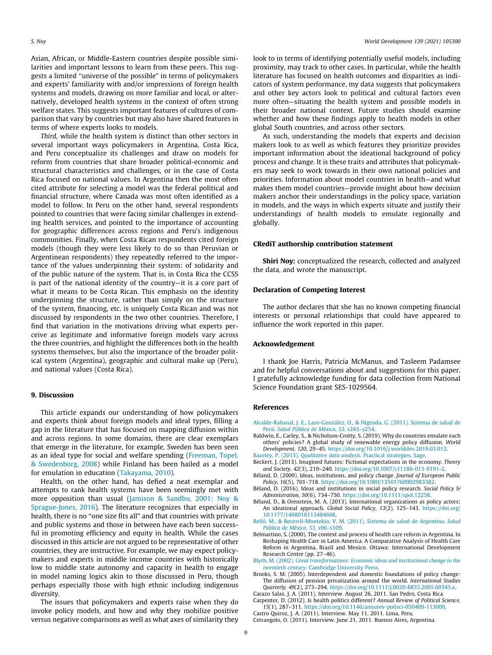<span id="page-8-0"></span>Asian, African, or Middle-Eastern countries despite possible similarities and important lessons to learn from these peers. This suggests a limited ''universe of the possible" in terms of policymakers and experts' familiarity with and/or impressions of foreign health systems and models, drawing on more familiar and local, or alternatively, developed health systems in the context of often strong welfare states. This suggests important features of cultures of comparison that vary by countries but may also have shared features in terms of where experts looks to models.

Third, while the health system is distinct than other sectors in several important ways policymakers in Argentina, Costa Rica, and Peru conceptualize its challenges and draw on models for reform from countries that share broader political-economic and structural characteristics and challenges, or in the case of Costa Rica focused on national values. In Argentina then the most often cited attribute for selecting a model was the federal political and financial structure, where Canada was most often identified as a model to follow. In Peru on the other hand, several respondents pointed to countries that were facing similar challenges in extending health services, and pointed to the importance of accounting for geographic differences across regions and Peru's indigenous communities. Finally, when Costa Rican respondents cited foreign models (though they were less likely to do so than Peruvian or Argentinean respondents) they repeatedly referred to the importance of the values underpinning their system: of solidarity and of the public nature of the system. That is, in Costa Rica the CCSS is part of the national identity of the country—it is a core part of what it means to be Costa Rican. This emphasis on the identity underpinning the structure, rather than simply on the structure of the system, financing, etc. is uniquely Costa Rican and was not discussed by respondents in the two other countries. Therefore, I find that variation in the motivations driving what experts perceive as legitimate and informative foreign models vary across the three countries, and highlight the differences both in the health systems themselves, but also the importance of the broader political system (Argentina), geographic and cultural make up (Peru), and national values (Costa Rica).

# 9. Discussion

This article expands our understanding of how policymakers and experts think about foreign models and ideal types, filling a gap in the literature that has focused on mapping diffusion within and across regions. In some domains, there are clear exemplars that emerge in the literature, for example, Sweden has been seen as an ideal type for social and welfare spending [\(Freeman, Topel,](#page-9-0) [& Swedenborg, 2008\)](#page-9-0) while Finland has been hailed as a model for emulation in education [\(Takayama, 2010\)](#page-9-0).

Health, on the other hand, has defied a neat exemplar and attempts to rank health systems have been seemingly met with more opposition than usual ([Jamison & Sandbu, 2001; Noy &](#page-9-0) [Sprague-Jones, 2016](#page-9-0)). The literature recognizes that especially in health, there is no ''one size fits all" and that countries with private and public systems and those in between have each been successful in promoting efficiency and equity in health. While the cases discussed in this article are not argued to be representative of other countries, they are instructive. For example, we may expect policymakers and experts in middle income countries with historically low to middle state autonomy and capacity in health to engage in model naming logics akin to those discussed in Peru, though perhaps especially those with high ethnic including indigenous diversity.

The issues that policymakers and experts raise when they do invoke policy models, and how and why they mobilize positive versus negative comparisons as well as what axes of similarity they

look to in terms of identifying potentially useful models, including proximity, may track to other cases. In particular, while the health literature has focused on health outcomes and disparities as indicators of system performance, my data suggests that policymakers and other key actors look to political and cultural factors even more often—situating the health system and possible models in their broader national context. Future studies should examine whether and how these findings apply to health models in other global South countries, and across other sectors.

As such, understanding the models that experts and decision makers look to as well as which features they prioritize provides important information about the ideational background of policy process and change. It is these traits and attributes that policymakers may seek to work towards in their own national policies and priorities. Information about model countries in health—and what makes them model countries—provide insight about how decision makers anchor their understandings in the policy space, variation in models, and the ways in which experts situate and justify their understandings of health models to emulate regionally and globally.

### CRediT authorship contribution statement

Shiri Noy: conceptualized the research, collected and analyzed the data, and wrote the manuscript.

### Declaration of Competing Interest

The author declares that she has no known competing financial interests or personal relationships that could have appeared to influence the work reported in this paper.

# Acknowledgement

I thank Joe Harris, Patricia McManus, and Tasleem Padamsee and for helpful conversations about and suggestions for this paper. I gratefully acknowledge funding for data collection from National Science Foundation grant SES-1029564.

# References

- [Alcalde-Rabanal, J. E., Lazo-González, O., & Nigenda, G. \(2011\). Sistema de salud de](http://refhub.elsevier.com/S0305-750X(20)30427-7/h0005) Perú. [Salud Pública de México, 53](http://refhub.elsevier.com/S0305-750X(20)30427-7/h0005), s243–s254.
- Baldwin, E., Carley, S., & Nicholson-Crotty, S. (2019). Why do countries emulate each others' policies? A global study of renewable energy policy diffusion. World Development, 120, 29–45. <https://doi.org/10.1016/j.worlddev.2019.03.012>. Bazeley, P. (2013). Qualitative data analysis[. Practical strategies. Sage.](http://refhub.elsevier.com/S0305-750X(20)30427-7/h0015)
- 
- Beckert, J. (2013). Imagined futures: Fictional expectations in the economy. Theory and Society, 42(3), 219–240. <https://doi.org/10.1007/s11186-013-9191-2>. Béland, D. (2009). Ideas, institutions, and policy change. Journal of European Public
- Policy, 16(5), 701–718. <https://doi.org/10.1080/13501760902983382>.
- Béland, D. (2016). Ideas and institutions in social policy research. Social Policy & Administration, 50(6), 734–750. [https://doi.org/10.1111/spol.12258.](https://doi.org/10.1111/spol.12258)
- Béland, D., & Orenstein, M. A. (2013). International organizations as policy actors: An ideational approach. Global Social Policy, 13(2), 125-143. [https://doi.org/](https://doi.org/10.1177/1468018113484608) [10.1177/1468018113484608](https://doi.org/10.1177/1468018113484608).
- [Belló, M., & Becerril-Montekio, V. M. \(2011\). Sistema de salud de Argentina.](http://refhub.elsevier.com/S0305-750X(20)30427-7/h0040) Salud [Pública de México, 53](http://refhub.elsevier.com/S0305-750X(20)30427-7/h0040), s96–s109.
- Belmartino, S. (2000). The context and process of health care reform in Argentina. In Reshaping Health Care in Latin America. A Comparative Analysis of Health Care Reform in Argentina, Brazil and Mexico. Ottawa: International Development Research Centre (pp. 27–46).
- Blyth, M. (2002). [Great transformations: Economic ideas and institutional change in the](http://refhub.elsevier.com/S0305-750X(20)30427-7/h0050) twentieth century[. Cambridge University Press.](http://refhub.elsevier.com/S0305-750X(20)30427-7/h0050)
- Brooks, S. M. (2005). Interdependent and domestic foundations of policy change: The diffusion of pension privatization around the world. International Studies Quarterly, 49(2), 273–294. <https://doi.org/10.1111/j.0020-8833.2005.00345.x>. Carazo Salas, J. A. (2011). Interview. August 26, 2011. San Pedro, Costa Rica.
- Carpenter, D. (2012). Is health politics different? Annual Review of Political Science, 15(1), 287–311. <https://doi.org/10.1146/annurev-polisci-050409-113009>.
- Castro Quiroz, J. A. (2011). Interview. May 11, 2011. Lima, Peru.
- Cetrangolo, O. (2011). Interview. June 21, 2011. Buenos Aires, Argentina.